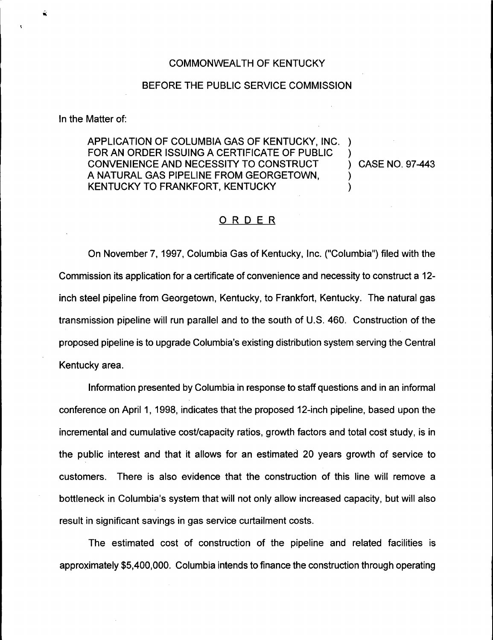### COMMONN/EALTH OF KENTUCKY

### BEFORE THE PUBLIC SERVICE COMMISSION

## In the Matter of:

APPLICATION OF COLUMBIA GAS OF KENTUCKY, INC. ) FOR AN ORDER ISSUING A CERTIFICATE OF PUBLIC ) CONVENIENCE AND NECESSITY TO CONSTRUCT ) CASE NO. 97-443 A NATURAL GAS PIPELINE FROM GEORGETOWN, KENTUCKY TO FRANKFORT, KENTUCKY

# ORDER

On November 7, 1997, Columbia Gas of Kentucky, Inc. ("Columbia") filed with the Commission its application for a certificate of convenience and necessity to construct a 12 inch steel pipeline from Georgetown, Kentucky, to Frankfort, Kentucky. The natural gas transmission pipeline will run parallel and to the south of U.S. 460. Construction of the proposed pipeline is to upgrade Columbia's existing distribution system serving the Central Kentucky area.

Information presented by Columbia in response to staff questions and in an informal conference on April 1, 1998, indicates that the proposed 12-inch pipeline, based upon the incremental and cumulative cost/capacity ratios, growth factors and total cost study, is in the public interest and that it allows for an estimated 20 years growth of service to customers. There is also evidence that the construction of this line will remove a bottleneck in Columbia's system that will not only allow increased capacity, but will also result in significant savings in gas service curtailment costs.

The estimated cost of construction of the pipeline and related facilities is approximately \$5,400,000. Columbia intends to finance the construction through operating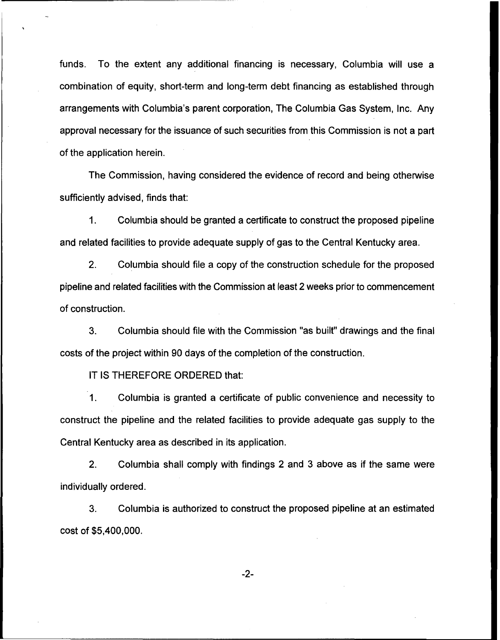funds. To the extent any additional financing is necessary, Columbia will use a combination of equity, short-term and long-term debt financing as established through arrangements with Columbia's parent corporation, The Columbia Gas System, Inc. Any approval necessary for the issuance of such securities from this Commission is not a part of the application herein.

The Commission, having considered the evidence of record and being otherwise sufficiently advised, finds that:

1. Columbia should be granted a certificate to construct the proposed pipeline and related facilities to provide adequate supply of gas to the Central Kentucky area.

2. Columbia should file a copy of the construction schedule for the proposed pipeline and related facilities with the Commission at least 2 weeks prior to commencement of construction.

3. Columbia should file with the Commission "as built" drawings and the final costs of the project within 90 days of the completion of the construction.

IT IS THEREFORE ORDERED that:

1. Columbia is granted a certificate of public convenience and necessity to construct the pipeline and the related facilities to provide adequate gas supply to the Central Kentucky area as described in its application.

2. Columbia shall comply with findings 2 and 3 above as if the same were individually ordered.

3. Columbia is authorized to construct the proposed pipeline at an estimated cost of \$5,400,000.

-2-